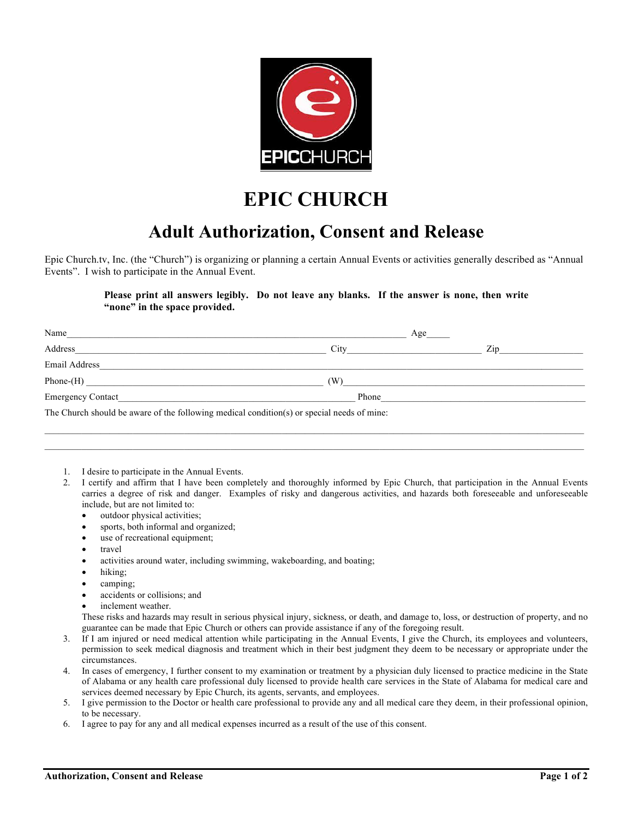

## **EPIC CHURCH**

## **Adult Authorization, Consent and Release**

Epic Church.tv, Inc. (the "Church") is organizing or planning a certain Annual Events or activities generally described as "Annual Events". I wish to participate in the Annual Event.

## **Please print all answers legibly. Do not leave any blanks. If the answer is none, then write "none" in the space provided.**

| Name                                                                                       |                                                                                                                                                                                                                                | Age                                                                                                                                                                                                                            |
|--------------------------------------------------------------------------------------------|--------------------------------------------------------------------------------------------------------------------------------------------------------------------------------------------------------------------------------|--------------------------------------------------------------------------------------------------------------------------------------------------------------------------------------------------------------------------------|
| Address                                                                                    | City the contract of the contract of the contract of the contract of the contract of the contract of the contract of the contract of the contract of the contract of the contract of the contract of the contract of the contr | Zip and the same state of the state of the state of the state of the state of the state of the state of the state of the state of the state of the state of the state of the state of the state of the state of the state of t |
| Email Address                                                                              |                                                                                                                                                                                                                                |                                                                                                                                                                                                                                |
|                                                                                            | (W)                                                                                                                                                                                                                            |                                                                                                                                                                                                                                |
|                                                                                            | Phone                                                                                                                                                                                                                          |                                                                                                                                                                                                                                |
| The Church should be aware of the following medical condition(s) or special needs of mine: |                                                                                                                                                                                                                                |                                                                                                                                                                                                                                |

- 1. I desire to participate in the Annual Events.
- 2. I certify and affirm that I have been completely and thoroughly informed by Epic Church, that participation in the Annual Events carries a degree of risk and danger. Examples of risky and dangerous activities, and hazards both foreseeable and unforeseeable include, but are not limited to:
	- outdoor physical activities;
	- sports, both informal and organized;
	- use of recreational equipment;
	- travel
	- activities around water, including swimming, wakeboarding, and boating;
	- hiking;
	- camping;
	- accidents or collisions; and
	- inclement weather.

These risks and hazards may result in serious physical injury, sickness, or death, and damage to, loss, or destruction of property, and no guarantee can be made that Epic Church or others can provide assistance if any of the foregoing result.

- 3. If I am injured or need medical attention while participating in the Annual Events, I give the Church, its employees and volunteers, permission to seek medical diagnosis and treatment which in their best judgment they deem to be necessary or appropriate under the circumstances.
- 4. In cases of emergency, I further consent to my examination or treatment by a physician duly licensed to practice medicine in the State of Alabama or any health care professional duly licensed to provide health care services in the State of Alabama for medical care and services deemed necessary by Epic Church, its agents, servants, and employees.
- 5. I give permission to the Doctor or health care professional to provide any and all medical care they deem, in their professional opinion, to be necessary.
- 6. I agree to pay for any and all medical expenses incurred as a result of the use of this consent.